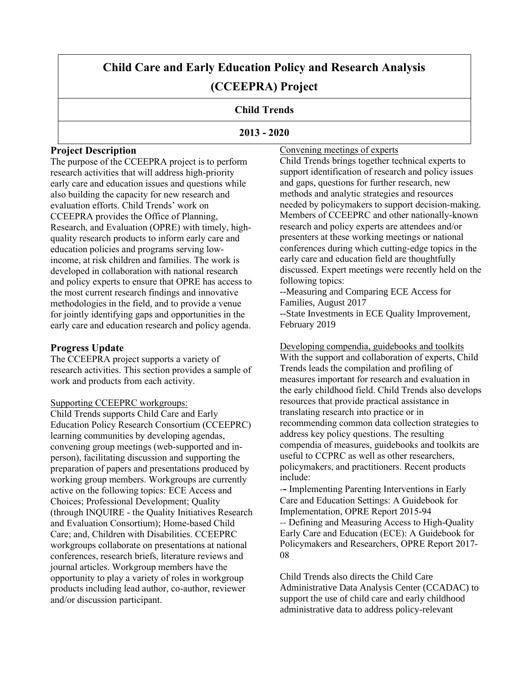# **Child Care and Early Education Policy and Research Analysis (CCEEPRA) Project**

# **Child Trends**

## **2013 - 2020**

# **Project Description**

The purpose of the CCEEPRA project is to perform research activities that will address high-priority early care and education issues and questions while also building the capacity for new research and evaluation efforts. Child Trends' work on CCEEPRA provides the Office of Planning, Research, and Evaluation (OPRE) with timely, highquality research products to inform early care and education policies and programs serving lowincome, at risk children and families. The work is developed in collaboration with national research and policy experts to ensure that OPRE has access to the most current research findings and innovative methodologies in the field, and to provide a venue for jointly identifying gaps and opportunities in the early care and education research and policy agenda.

# **Progress Update**

The CCEEPRA project supports a variety of research activities. This section provides a sample of work and products from each activity.

## Supporting CCEEPRC workgroups:

Child Trends supports Child Care and Early Education Policy Research Consortium (CCEEPRC) learning communities by developing agendas, convening group meetings (web-supported and inperson), facilitating discussion and supporting the preparation of papers and presentations produced by working group members. Workgroups are currently active on the following topics: ECE Access and Choices; Professional Development; Quality (through INQUIRE - the Quality Initiatives Research and Evaluation Consortium); Home-based Child Care; and, Children with Disabilities. CCEEPRC workgroups collaborate on presentations at national conferences, research briefs, literature reviews and journal articles. Workgroup members have the opportunity to play a variety of roles in workgroup products including lead author, co-author, reviewer and/or discussion participant.

Convening meetings of experts Child Trends brings together technical experts to support identification of research and policy issues and gaps, questions for further research, new methods and analytic strategies and resources needed by policymakers to support decision-making. Members of CCEEPRC and other nationally-known research and policy experts are attendees and/or presenters at these working meetings or national conferences during which cutting-edge topics in the early care and education field are thoughtfully discussed. Expert meetings were recently held on the following topics:

--Measuring and Comparing ECE Access for Families, August 2017 --State Investments in ECE Quality Improvement, February 2019

Developing compendia, guidebooks and toolkits With the support and collaboration of experts, Child Trends leads the compilation and profiling of measures important for research and evaluation in the early childhood field. Child Trends also develops resources that provide practical assistance in translating research into practice or in recommending common data collection strategies to address key policy questions. The resulting compendia of measures, guidebooks and toolkits are useful to CCPRC as well as other researchers, policymakers, and practitioners. Recent products include:

-**-** Implementing Parenting Interventions in Early Care and Education Settings: A Guidebook for Implementation, OPRE Report 2015-94 -- Defining and Measuring Access to High-Quality Early Care and Education (ECE): A Guidebook for Policymakers and Researchers, OPRE Report 2017- 08

Child Trends also directs the Child Care Administrative Data Analysis Center (CCADAC) to support the use of child care and early childhood administrative data to address policy-relevant